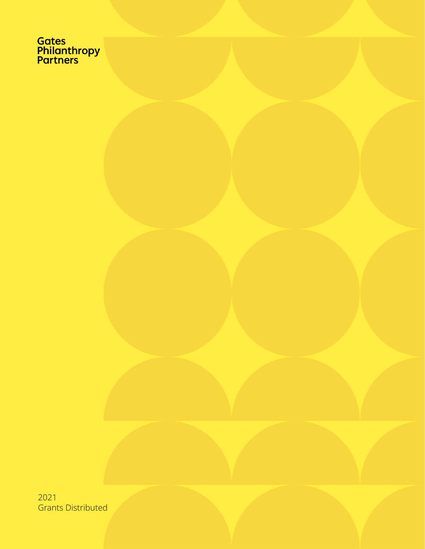Gates<br>Philanthropy<br>Partners

2021 Grants Distributed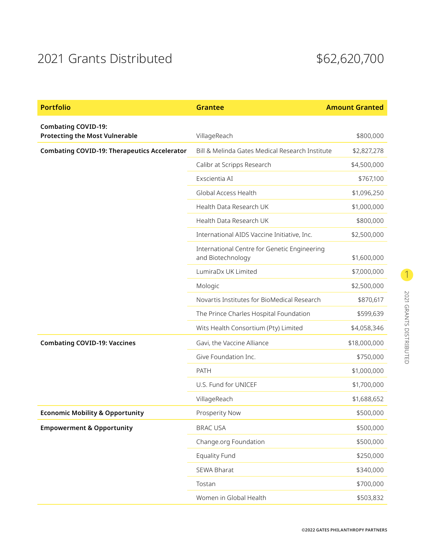## 2021 Grants Distributed \$62,620,700

| <b>Portfolio</b>                                                    | <b>Grantee</b>                                                    | <b>Amount Granted</b> |
|---------------------------------------------------------------------|-------------------------------------------------------------------|-----------------------|
| <b>Combating COVID-19:</b><br><b>Protecting the Most Vulnerable</b> | VillageReach                                                      | \$800,000             |
| <b>Combating COVID-19: Therapeutics Accelerator</b>                 | Bill & Melinda Gates Medical Research Institute                   | \$2,827,278           |
|                                                                     | Calibr at Scripps Research                                        | \$4,500,000           |
|                                                                     | Exscientia AI                                                     | \$767,100             |
|                                                                     | Global Access Health                                              | \$1,096,250           |
|                                                                     | Health Data Research UK                                           | \$1,000,000           |
|                                                                     | Health Data Research UK                                           | \$800,000             |
|                                                                     | International AIDS Vaccine Initiative, Inc.                       | \$2,500,000           |
|                                                                     | International Centre for Genetic Engineering<br>and Biotechnology | \$1,600,000           |
|                                                                     | LumiraDx UK Limited                                               | \$7,000,000           |
|                                                                     | Mologic                                                           | \$2,500,000           |
|                                                                     | Novartis Institutes for BioMedical Research                       | \$870,617             |
|                                                                     | The Prince Charles Hospital Foundation                            | \$599,639             |
|                                                                     | Wits Health Consortium (Pty) Limited                              | \$4,058,346           |
| <b>Combating COVID-19: Vaccines</b>                                 | Gavi, the Vaccine Alliance                                        | \$18,000,000          |
|                                                                     | Give Foundation Inc.                                              | \$750,000             |
|                                                                     | PATH                                                              | \$1,000,000           |
|                                                                     | U.S. Fund for UNICEF                                              | \$1,700,000           |
|                                                                     | VillageReach                                                      | \$1,688,652           |
| <b>Economic Mobility &amp; Opportunity</b>                          | Prosperity Now                                                    | \$500,000             |
| <b>Empowerment &amp; Opportunity</b>                                | <b>BRAC USA</b>                                                   | \$500,000             |
|                                                                     | Change.org Foundation                                             | \$500,000             |
|                                                                     | <b>Equality Fund</b>                                              | \$250,000             |
|                                                                     | SEWA Bharat                                                       | \$340,000             |
|                                                                     | Tostan                                                            | \$700,000             |
|                                                                     | Women in Global Health                                            | \$503,832             |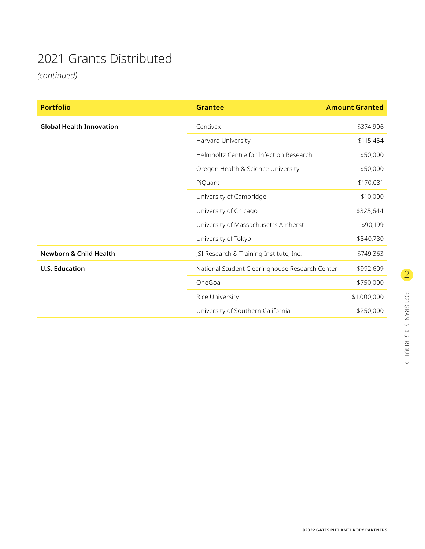## 2021 Grants Distributed

*(continued)*

| <b>Portfolio</b>                  | <b>Grantee</b>                                 | <b>Amount Granted</b> |
|-----------------------------------|------------------------------------------------|-----------------------|
| <b>Global Health Innovation</b>   | Centivax                                       | \$374,906             |
|                                   | Harvard University                             | \$115,454             |
|                                   | Helmholtz Centre for Infection Research        | \$50,000              |
|                                   | Oregon Health & Science University             | \$50,000              |
|                                   | PiQuant                                        | \$170,031             |
|                                   | University of Cambridge                        | \$10,000              |
|                                   | University of Chicago                          | \$325,644             |
|                                   | University of Massachusetts Amherst            | \$90,199              |
|                                   | University of Tokyo                            | \$340,780             |
| <b>Newborn &amp; Child Health</b> | JSI Research & Training Institute, Inc.        | \$749,363             |
| <b>U.S. Education</b>             | National Student Clearinghouse Research Center | \$992,609             |
|                                   | OneGoal                                        | \$750,000             |
|                                   | Rice University                                | \$1,000,000           |
|                                   | University of Southern California              | \$250,000             |